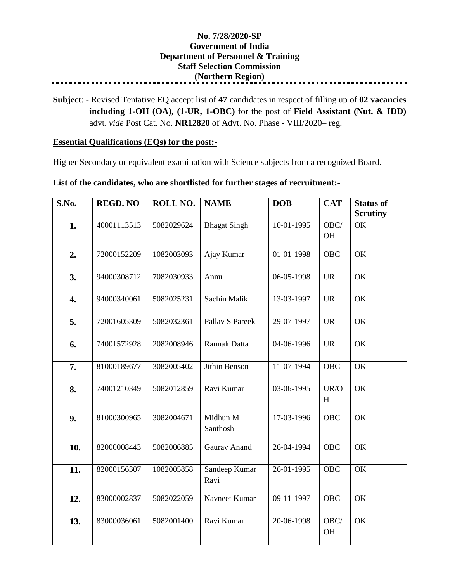## **No. 7/28/2020-SP Government of India Department of Personnel & Training Staff Selection Commission (Northern Region)**

**Subject**: - Revised Tentative EQ accept list of **47** candidates in respect of filling up of **02 vacancies including 1-OH (OA), (1-UR, 1-OBC)** for the post of **Field Assistant (Nut. & IDD)** advt. *vide* Post Cat. No. **NR12820** of Advt. No. Phase - VIII/2020– reg.

## **Essential Qualifications (EQs) for the post:-**

Higher Secondary or equivalent examination with Science subjects from a recognized Board.

## **List of the candidates, who are shortlisted for further stages of recruitment:-**

| S.No. | <b>REGD. NO</b> | ROLL NO.   | <b>NAME</b>           | <b>DOB</b> | <b>CAT</b>        | <b>Status of</b><br><b>Scrutiny</b> |
|-------|-----------------|------------|-----------------------|------------|-------------------|-------------------------------------|
| 1.    | 40001113513     | 5082029624 | <b>Bhagat Singh</b>   | 10-01-1995 | OBC/<br><b>OH</b> | OK                                  |
| 2.    | 72000152209     | 1082003093 | Ajay Kumar            | 01-01-1998 | <b>OBC</b>        | OK                                  |
| 3.    | 94000308712     | 7082030933 | Annu                  | 06-05-1998 | <b>UR</b>         | OK                                  |
| 4.    | 94000340061     | 5082025231 | Sachin Malik          | 13-03-1997 | <b>UR</b>         | OK                                  |
| 5.    | 72001605309     | 5082032361 | Pallav S Pareek       | 29-07-1997 | <b>UR</b>         | OK                                  |
| 6.    | 74001572928     | 2082008946 | Raunak Datta          | 04-06-1996 | <b>UR</b>         | OK                                  |
| 7.    | 81000189677     | 3082005402 | Jithin Benson         | 11-07-1994 | OBC               | $\overline{\text{OK}}$              |
| 8.    | 74001210349     | 5082012859 | Ravi Kumar            | 03-06-1995 | UR/O<br>H         | OK                                  |
| 9.    | 81000300965     | 3082004671 | Midhun M<br>Santhosh  | 17-03-1996 | <b>OBC</b>        | OK                                  |
| 10.   | 82000008443     | 5082006885 | <b>Gaurav Anand</b>   | 26-04-1994 | <b>OBC</b>        | OK                                  |
| 11.   | 82000156307     | 1082005858 | Sandeep Kumar<br>Ravi | 26-01-1995 | <b>OBC</b>        | $\overline{\text{OK}}$              |
| 12.   | 83000002837     | 5082022059 | Navneet Kumar         | 09-11-1997 | <b>OBC</b>        | OK                                  |
| 13.   | 83000036061     | 5082001400 | Ravi Kumar            | 20-06-1998 | OBC/<br>OH        | $\overline{\text{OK}}$              |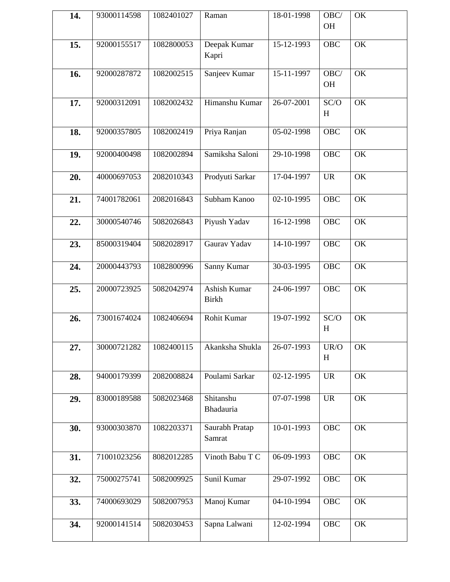| 14. | 93000114598 | 1082401027 | Raman                               | 18-01-1998       | OBC/<br>OH                      | OK |
|-----|-------------|------------|-------------------------------------|------------------|---------------------------------|----|
| 15. | 92000155517 | 1082800053 | Deepak Kumar<br>Kapri               | 15-12-1993       | OBC                             | OK |
| 16. | 92000287872 | 1082002515 | Sanjeev Kumar                       | 15-11-1997       | $\overline{\text{OBC}}$<br>OH   | OK |
| 17. | 92000312091 | 1082002432 | Himanshu Kumar                      | 26-07-2001       | SC/O<br>H                       | OK |
| 18. | 92000357805 | 1082002419 | Priya Ranjan                        | 05-02-1998       | OBC                             | OK |
| 19. | 92000400498 | 1082002894 | Samiksha Saloni                     | 29-10-1998       | OBC                             | OK |
| 20. | 40000697053 | 2082010343 | Prodyuti Sarkar                     | 17-04-1997       | <b>UR</b>                       | OK |
| 21. | 74001782061 | 2082016843 | Subham Kanoo                        | 02-10-1995       | OBC                             | OK |
| 22. | 30000540746 | 5082026843 | Piyush Yadav                        | 16-12-1998       | <b>OBC</b>                      | OK |
| 23. | 85000319404 | 5082028917 | Gaurav Yadav                        | $14 - 10 - 1997$ | <b>OBC</b>                      | OK |
| 24. | 20000443793 | 1082800996 | Sanny Kumar                         | 30-03-1995       | <b>OBC</b>                      | OK |
| 25. | 20000723925 | 5082042974 | <b>Ashish Kumar</b><br><b>Birkh</b> | 24-06-1997       | <b>OBC</b>                      | OK |
| 26. | 73001674024 | 1082406694 | Rohit Kumar                         | 19-07-1992       | SC/O<br>H                       | OK |
| 27. | 30000721282 | 1082400115 | Akanksha Shukla                     | 26-07-1993       | UR/O<br>H                       | OK |
| 28. | 94000179399 | 2082008824 | Poulami Sarkar                      | 02-12-1995       | $\ensuremath{\text{UR}}\xspace$ | OK |
| 29. | 83000189588 | 5082023468 | Shitanshu<br>Bhadauria              | 07-07-1998       | <b>UR</b>                       | OK |
| 30. | 93000303870 | 1082203371 | Saurabh Pratap<br>Samrat            | 10-01-1993       | OBC                             | OK |
| 31. | 71001023256 | 8082012285 | Vinoth Babu T C                     | 06-09-1993       | OBC                             | OK |
| 32. | 75000275741 | 5082009925 | Sunil Kumar                         | 29-07-1992       | OBC                             | OK |
| 33. | 74000693029 | 5082007953 | Manoj Kumar                         | 04-10-1994       | <b>OBC</b>                      | OK |
| 34. | 92000141514 | 5082030453 | Sapna Lalwani                       | 12-02-1994       | OBC                             | OK |